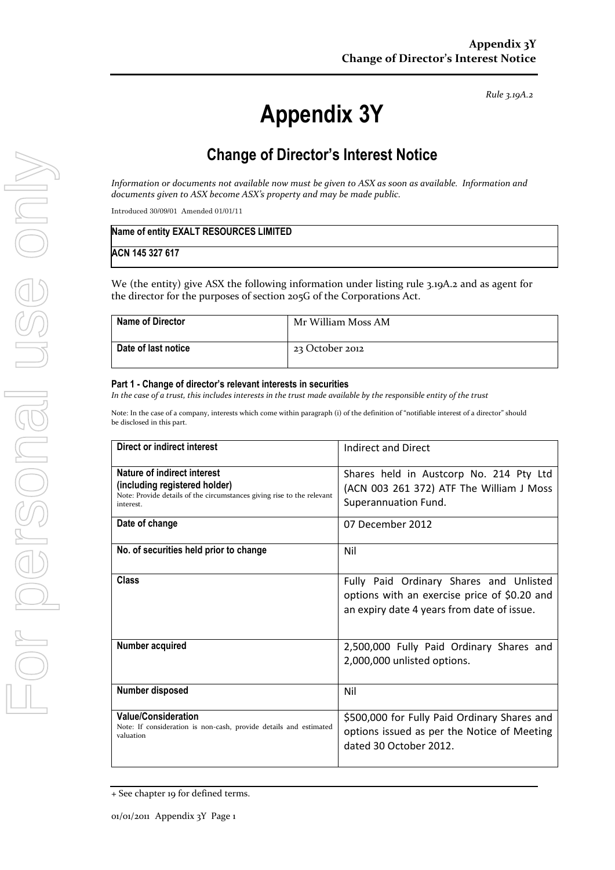*Rule 3.19A.2*

# **Appendix 3Y**

## **Change of Director's Interest Notice**

*Information or documents not available now must be given to ASX as soon as available. Information and documents given to ASX become ASX's property and may be made public.*

Introduced 30/09/01 Amended 01/01/11

| Name of entity EXALT RESOURCES LIMITED |  |
|----------------------------------------|--|
| ACN 145 327 617                        |  |

We (the entity) give ASX the following information under listing rule 3.19A.2 and as agent for the director for the purposes of section 205G of the Corporations Act.

| <b>Name of Director</b> | Mr William Moss AM |
|-------------------------|--------------------|
| Date of last notice     | 23 October 2012    |

#### **Part 1 - Change of director's relevant interests in securities**

*In the case of a trust, this includes interests in the trust made available by the responsible entity of the trust*

Note: In the case of a company, interests which come within paragraph (i) of the definition of "notifiable interest of a director" should be disclosed in this part.

| Direct or indirect interest                                                                                                                         | Indirect and Direct                                                                                                                   |
|-----------------------------------------------------------------------------------------------------------------------------------------------------|---------------------------------------------------------------------------------------------------------------------------------------|
| Nature of indirect interest<br>(including registered holder)<br>Note: Provide details of the circumstances giving rise to the relevant<br>interest. | Shares held in Austcorp No. 214 Pty Ltd<br>(ACN 003 261 372) ATF The William J Moss<br>Superannuation Fund.                           |
| Date of change                                                                                                                                      | 07 December 2012                                                                                                                      |
| No. of securities held prior to change                                                                                                              | Nil                                                                                                                                   |
| Class                                                                                                                                               | Fully Paid Ordinary Shares and Unlisted<br>options with an exercise price of \$0.20 and<br>an expiry date 4 years from date of issue. |
| Number acquired                                                                                                                                     | 2,500,000 Fully Paid Ordinary Shares and<br>2,000,000 unlisted options.                                                               |
| Number disposed                                                                                                                                     | Nil                                                                                                                                   |
| <b>Value/Consideration</b><br>Note: If consideration is non-cash, provide details and estimated<br>valuation                                        | \$500,000 for Fully Paid Ordinary Shares and<br>options issued as per the Notice of Meeting<br>dated 30 October 2012.                 |

<sup>+</sup> See chapter 19 for defined terms.